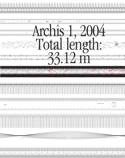